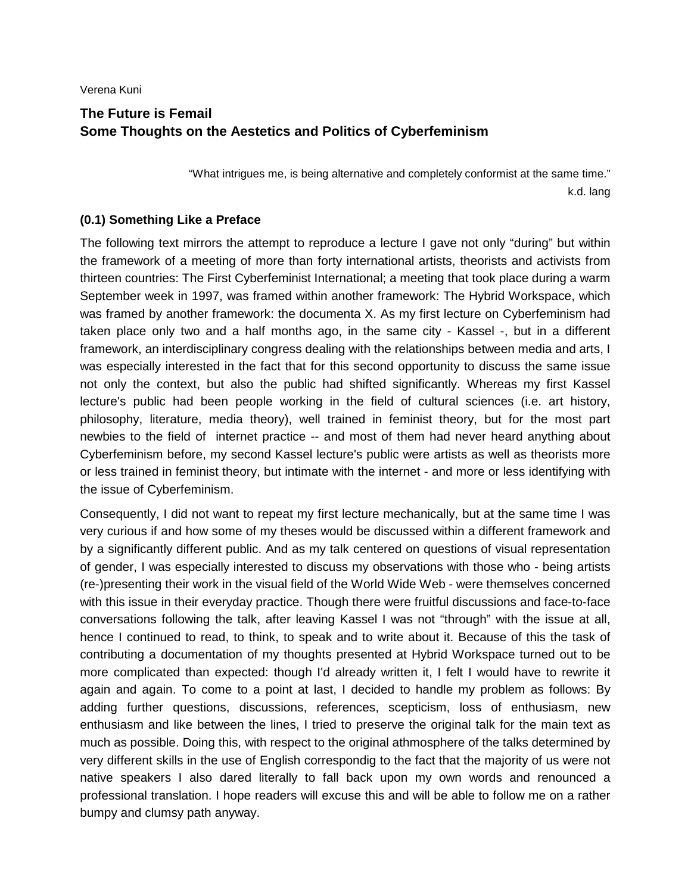Verena Kuni

# **The Future is Femail Some Thoughts on the Aestetics and Politics of Cyberfeminism**

"What intrigues me, is being alternative and completely conformist at the same time." k.d. lang

#### **(0.1) Something Like a Preface**

The following text mirrors the attempt to reproduce a lecture I gave not only "during" but within the framework of a meeting of more than forty international artists, theorists and activists from thirteen countries: The First Cyberfeminist International; a meeting that took place during a warm September week in 1997, was framed within another framework: The Hybrid Workspace, which was framed by another framework: the documenta X. As my first lecture on Cyberfeminism had taken place only two and a half months ago, in the same city - Kassel -, but in a different framework, an interdisciplinary congress dealing with the relationships between media and arts, I was especially interested in the fact that for this second opportunity to discuss the same issue not only the context, but also the public had shifted significantly. Whereas my first Kassel lecture's public had been people working in the field of cultural sciences (i.e. art history, philosophy, literature, media theory), well trained in feminist theory, but for the most part newbies to the field of internet practice -- and most of them had never heard anything about Cyberfeminism before, my second Kassel lecture's public were artists as well as theorists more or less trained in feminist theory, but intimate with the internet - and more or less identifying with the issue of Cyberfeminism.

Consequently, I did not want to repeat my first lecture mechanically, but at the same time I was very curious if and how some of my theses would be discussed within a different framework and by a significantly different public. And as my talk centered on questions of visual representation of gender, I was especially interested to discuss my observations with those who - being artists (re-)presenting their work in the visual field of the World Wide Web - were themselves concerned with this issue in their everyday practice. Though there were fruitful discussions and face-to-face conversations following the talk, after leaving Kassel I was not "through" with the issue at all, hence I continued to read, to think, to speak and to write about it. Because of this the task of contributing a documentation of my thoughts presented at Hybrid Workspace turned out to be more complicated than expected: though I'd already written it, I felt I would have to rewrite it again and again. To come to a point at last, I decided to handle my problem as follows: By adding further questions, discussions, references, scepticism, loss of enthusiasm, new enthusiasm and like between the lines, I tried to preserve the original talk for the main text as much as possible. Doing this, with respect to the original athmosphere of the talks determined by very different skills in the use of English correspondig to the fact that the majority of us were not native speakers I also dared literally to fall back upon my own words and renounced a professional translation. I hope readers will excuse this and will be able to follow me on a rather bumpy and clumsy path anyway.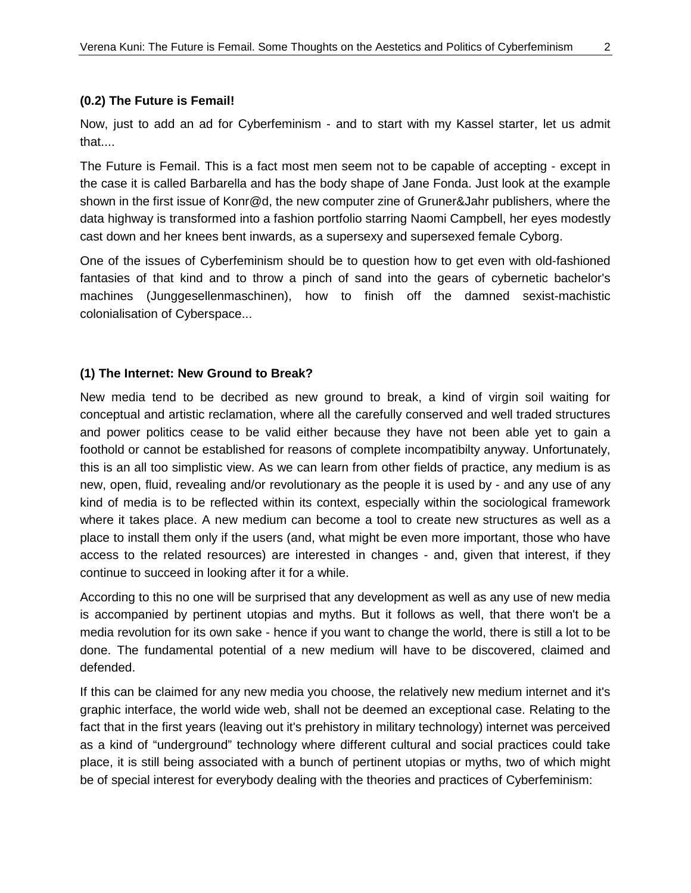### **(0.2) The Future is Femail!**

Now, just to add an ad for Cyberfeminism - and to start with my Kassel starter, let us admit that....

The Future is Femail. This is a fact most men seem not to be capable of accepting - except in the case it is called Barbarella and has the body shape of Jane Fonda. Just look at the example shown in the first issue of Konr@d, the new computer zine of Gruner&Jahr publishers, where the data highway is transformed into a fashion portfolio starring Naomi Campbell, her eyes modestly cast down and her knees bent inwards, as a supersexy and supersexed female Cyborg.

One of the issues of Cyberfeminism should be to question how to get even with old-fashioned fantasies of that kind and to throw a pinch of sand into the gears of cybernetic bachelor's machines (Junggesellenmaschinen), how to finish off the damned sexist-machistic colonialisation of Cyberspace...

### **(1) The Internet: New Ground to Break?**

New media tend to be decribed as new ground to break, a kind of virgin soil waiting for conceptual and artistic reclamation, where all the carefully conserved and well traded structures and power politics cease to be valid either because they have not been able yet to gain a foothold or cannot be established for reasons of complete incompatibilty anyway. Unfortunately, this is an all too simplistic view. As we can learn from other fields of practice, any medium is as new, open, fluid, revealing and/or revolutionary as the people it is used by - and any use of any kind of media is to be reflected within its context, especially within the sociological framework where it takes place. A new medium can become a tool to create new structures as well as a place to install them only if the users (and, what might be even more important, those who have access to the related resources) are interested in changes - and, given that interest, if they continue to succeed in looking after it for a while.

According to this no one will be surprised that any development as well as any use of new media is accompanied by pertinent utopias and myths. But it follows as well, that there won't be a media revolution for its own sake - hence if you want to change the world, there is still a lot to be done. The fundamental potential of a new medium will have to be discovered, claimed and defended.

If this can be claimed for any new media you choose, the relatively new medium internet and it's graphic interface, the world wide web, shall not be deemed an exceptional case. Relating to the fact that in the first years (leaving out it's prehistory in military technology) internet was perceived as a kind of "underground" technology where different cultural and social practices could take place, it is still being associated with a bunch of pertinent utopias or myths, two of which might be of special interest for everybody dealing with the theories and practices of Cyberfeminism: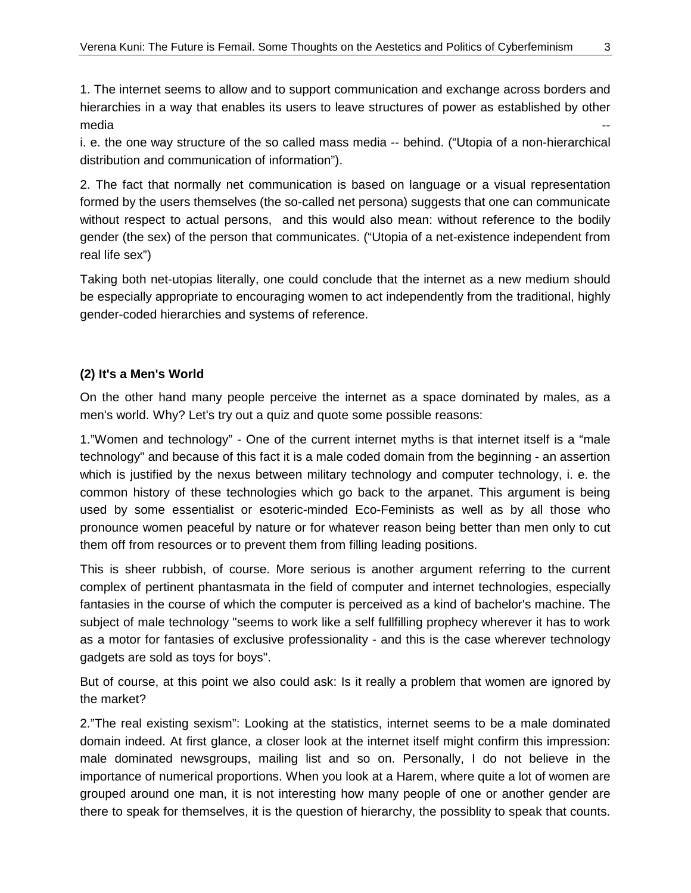1. The internet seems to allow and to support communication and exchange across borders and hierarchies in a way that enables its users to leave structures of power as established by other media and the second state of the second state  $\sim$  --

i. e. the one way structure of the so called mass media -- behind. ("Utopia of a non-hierarchical distribution and communication of information").

2. The fact that normally net communication is based on language or a visual representation formed by the users themselves (the so-called net persona) suggests that one can communicate without respect to actual persons, and this would also mean: without reference to the bodily gender (the sex) of the person that communicates. ("Utopia of a net-existence independent from real life sex")

Taking both net-utopias literally, one could conclude that the internet as a new medium should be especially appropriate to encouraging women to act independently from the traditional, highly gender-coded hierarchies and systems of reference.

## **(2) It's a Men's World**

On the other hand many people perceive the internet as a space dominated by males, as a men's world. Why? Let's try out a quiz and quote some possible reasons:

1."Women and technology" - One of the current internet myths is that internet itself is a "male technology" and because of this fact it is a male coded domain from the beginning - an assertion which is justified by the nexus between military technology and computer technology, i. e. the common history of these technologies which go back to the arpanet. This argument is being used by some essentialist or esoteric-minded Eco-Feminists as well as by all those who pronounce women peaceful by nature or for whatever reason being better than men only to cut them off from resources or to prevent them from filling leading positions.

This is sheer rubbish, of course. More serious is another argument referring to the current complex of pertinent phantasmata in the field of computer and internet technologies, especially fantasies in the course of which the computer is perceived as a kind of bachelor's machine. The subject of male technology "seems to work like a self fullfilling prophecy wherever it has to work as a motor for fantasies of exclusive professionality - and this is the case wherever technology gadgets are sold as toys for boys".

But of course, at this point we also could ask: Is it really a problem that women are ignored by the market?

2."The real existing sexism": Looking at the statistics, internet seems to be a male dominated domain indeed. At first glance, a closer look at the internet itself might confirm this impression: male dominated newsgroups, mailing list and so on. Personally, I do not believe in the importance of numerical proportions. When you look at a Harem, where quite a lot of women are grouped around one man, it is not interesting how many people of one or another gender are there to speak for themselves, it is the question of hierarchy, the possiblity to speak that counts.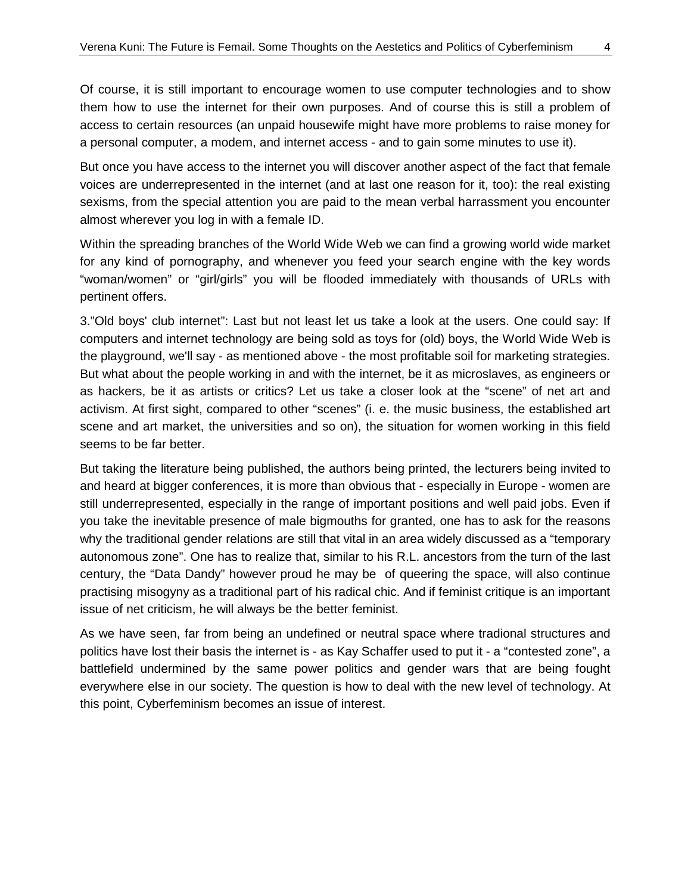Of course, it is still important to encourage women to use computer technologies and to show them how to use the internet for their own purposes. And of course this is still a problem of access to certain resources (an unpaid housewife might have more problems to raise money for a personal computer, a modem, and internet access - and to gain some minutes to use it).

But once you have access to the internet you will discover another aspect of the fact that female voices are underrepresented in the internet (and at last one reason for it, too): the real existing sexisms, from the special attention you are paid to the mean verbal harrassment you encounter almost wherever you log in with a female ID.

Within the spreading branches of the World Wide Web we can find a growing world wide market for any kind of pornography, and whenever you feed your search engine with the key words "woman/women" or "girl/girls" you will be flooded immediately with thousands of URLs with pertinent offers.

3."Old boys' club internet": Last but not least let us take a look at the users. One could say: If computers and internet technology are being sold as toys for (old) boys, the World Wide Web is the playground, we'll say - as mentioned above - the most profitable soil for marketing strategies. But what about the people working in and with the internet, be it as microslaves, as engineers or as hackers, be it as artists or critics? Let us take a closer look at the "scene" of net art and activism. At first sight, compared to other "scenes" (i. e. the music business, the established art scene and art market, the universities and so on), the situation for women working in this field seems to be far better.

But taking the literature being published, the authors being printed, the lecturers being invited to and heard at bigger conferences, it is more than obvious that - especially in Europe - women are still underrepresented, especially in the range of important positions and well paid jobs. Even if you take the inevitable presence of male bigmouths for granted, one has to ask for the reasons why the traditional gender relations are still that vital in an area widely discussed as a "temporary autonomous zone". One has to realize that, similar to his R.L. ancestors from the turn of the last century, the "Data Dandy" however proud he may be of queering the space, will also continue practising misogyny as a traditional part of his radical chic. And if feminist critique is an important issue of net criticism, he will always be the better feminist.

As we have seen, far from being an undefined or neutral space where tradional structures and politics have lost their basis the internet is - as Kay Schaffer used to put it - a "contested zone", a battlefield undermined by the same power politics and gender wars that are being fought everywhere else in our society. The question is how to deal with the new level of technology. At this point, Cyberfeminism becomes an issue of interest.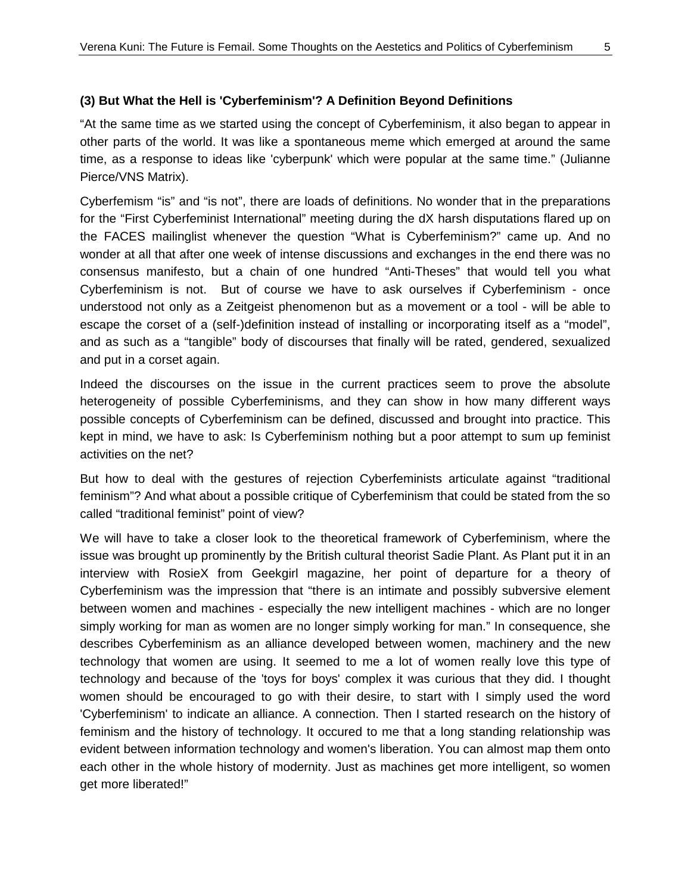### **(3) But What the Hell is 'Cyberfeminism'? A Definition Beyond Definitions**

"At the same time as we started using the concept of Cyberfeminism, it also began to appear in other parts of the world. It was like a spontaneous meme which emerged at around the same time, as a response to ideas like 'cyberpunk' which were popular at the same time." (Julianne Pierce/VNS Matrix).

Cyberfemism "is" and "is not", there are loads of definitions. No wonder that in the preparations for the "First Cyberfeminist International" meeting during the dX harsh disputations flared up on the FACES mailinglist whenever the question "What is Cyberfeminism?" came up. And no wonder at all that after one week of intense discussions and exchanges in the end there was no consensus manifesto, but a chain of one hundred "Anti-Theses" that would tell you what Cyberfeminism is not. But of course we have to ask ourselves if Cyberfeminism - once understood not only as a Zeitgeist phenomenon but as a movement or a tool - will be able to escape the corset of a (self-)definition instead of installing or incorporating itself as a "model", and as such as a "tangible" body of discourses that finally will be rated, gendered, sexualized and put in a corset again.

Indeed the discourses on the issue in the current practices seem to prove the absolute heterogeneity of possible Cyberfeminisms, and they can show in how many different ways possible concepts of Cyberfeminism can be defined, discussed and brought into practice. This kept in mind, we have to ask: Is Cyberfeminism nothing but a poor attempt to sum up feminist activities on the net?

But how to deal with the gestures of rejection Cyberfeminists articulate against "traditional feminism"? And what about a possible critique of Cyberfeminism that could be stated from the so called "traditional feminist" point of view?

We will have to take a closer look to the theoretical framework of Cyberfeminism, where the issue was brought up prominently by the British cultural theorist Sadie Plant. As Plant put it in an interview with RosieX from Geekgirl magazine, her point of departure for a theory of Cyberfeminism was the impression that "there is an intimate and possibly subversive element between women and machines - especially the new intelligent machines - which are no longer simply working for man as women are no longer simply working for man." In consequence, she describes Cyberfeminism as an alliance developed between women, machinery and the new technology that women are using. It seemed to me a lot of women really love this type of technology and because of the 'toys for boys' complex it was curious that they did. I thought women should be encouraged to go with their desire, to start with I simply used the word 'Cyberfeminism' to indicate an alliance. A connection. Then I started research on the history of feminism and the history of technology. It occured to me that a long standing relationship was evident between information technology and women's liberation. You can almost map them onto each other in the whole history of modernity. Just as machines get more intelligent, so women get more liberated!"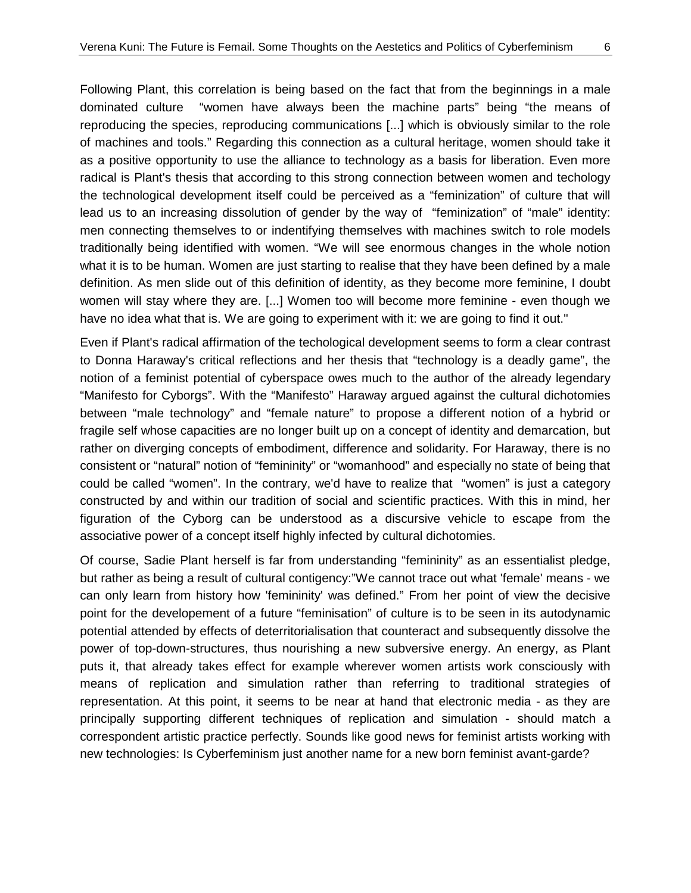Following Plant, this correlation is being based on the fact that from the beginnings in a male dominated culture "women have always been the machine parts" being "the means of reproducing the species, reproducing communications [...] which is obviously similar to the role of machines and tools." Regarding this connection as a cultural heritage, women should take it as a positive opportunity to use the alliance to technology as a basis for liberation. Even more radical is Plant's thesis that according to this strong connection between women and techology the technological development itself could be perceived as a "feminization" of culture that will lead us to an increasing dissolution of gender by the way of "feminization" of "male" identity: men connecting themselves to or indentifying themselves with machines switch to role models traditionally being identified with women. "We will see enormous changes in the whole notion what it is to be human. Women are just starting to realise that they have been defined by a male definition. As men slide out of this definition of identity, as they become more feminine, I doubt women will stay where they are. [...] Women too will become more feminine - even though we have no idea what that is. We are going to experiment with it: we are going to find it out."

Even if Plant's radical affirmation of the techological development seems to form a clear contrast to Donna Haraway's critical reflections and her thesis that "technology is a deadly game", the notion of a feminist potential of cyberspace owes much to the author of the already legendary "Manifesto for Cyborgs". With the "Manifesto" Haraway argued against the cultural dichotomies between "male technology" and "female nature" to propose a different notion of a hybrid or fragile self whose capacities are no longer built up on a concept of identity and demarcation, but rather on diverging concepts of embodiment, difference and solidarity. For Haraway, there is no consistent or "natural" notion of "femininity" or "womanhood" and especially no state of being that could be called "women". In the contrary, we'd have to realize that "women" is just a category constructed by and within our tradition of social and scientific practices. With this in mind, her figuration of the Cyborg can be understood as a discursive vehicle to escape from the associative power of a concept itself highly infected by cultural dichotomies.

Of course, Sadie Plant herself is far from understanding "femininity" as an essentialist pledge, but rather as being a result of cultural contigency:"We cannot trace out what 'female' means - we can only learn from history how 'femininity' was defined." From her point of view the decisive point for the developement of a future "feminisation" of culture is to be seen in its autodynamic potential attended by effects of deterritorialisation that counteract and subsequently dissolve the power of top-down-structures, thus nourishing a new subversive energy. An energy, as Plant puts it, that already takes effect for example wherever women artists work consciously with means of replication and simulation rather than referring to traditional strategies of representation. At this point, it seems to be near at hand that electronic media - as they are principally supporting different techniques of replication and simulation - should match a correspondent artistic practice perfectly. Sounds like good news for feminist artists working with new technologies: Is Cyberfeminism just another name for a new born feminist avant-garde?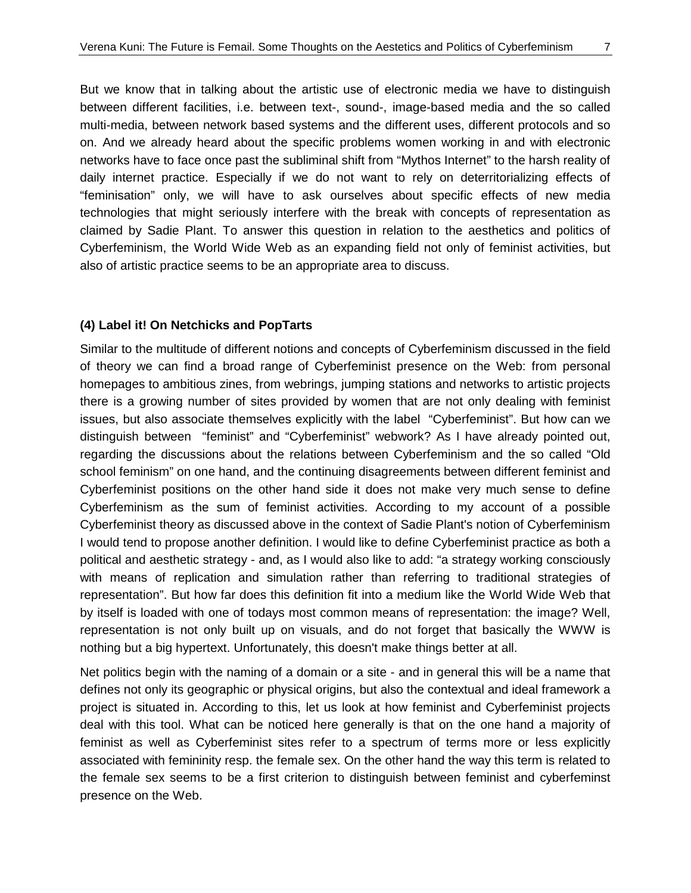But we know that in talking about the artistic use of electronic media we have to distinguish between different facilities, i.e. between text-, sound-, image-based media and the so called multi-media, between network based systems and the different uses, different protocols and so on. And we already heard about the specific problems women working in and with electronic networks have to face once past the subliminal shift from "Mythos Internet" to the harsh reality of daily internet practice. Especially if we do not want to rely on deterritorializing effects of "feminisation" only, we will have to ask ourselves about specific effects of new media technologies that might seriously interfere with the break with concepts of representation as claimed by Sadie Plant. To answer this question in relation to the aesthetics and politics of Cyberfeminism, the World Wide Web as an expanding field not only of feminist activities, but also of artistic practice seems to be an appropriate area to discuss.

## **(4) Label it! On Netchicks and PopTarts**

Similar to the multitude of different notions and concepts of Cyberfeminism discussed in the field of theory we can find a broad range of Cyberfeminist presence on the Web: from personal homepages to ambitious zines, from webrings, jumping stations and networks to artistic projects there is a growing number of sites provided by women that are not only dealing with feminist issues, but also associate themselves explicitly with the label "Cyberfeminist". But how can we distinguish between "feminist" and "Cyberfeminist" webwork? As I have already pointed out, regarding the discussions about the relations between Cyberfeminism and the so called "Old school feminism" on one hand, and the continuing disagreements between different feminist and Cyberfeminist positions on the other hand side it does not make very much sense to define Cyberfeminism as the sum of feminist activities. According to my account of a possible Cyberfeminist theory as discussed above in the context of Sadie Plant's notion of Cyberfeminism I would tend to propose another definition. I would like to define Cyberfeminist practice as both a political and aesthetic strategy - and, as I would also like to add: "a strategy working consciously with means of replication and simulation rather than referring to traditional strategies of representation". But how far does this definition fit into a medium like the World Wide Web that by itself is loaded with one of todays most common means of representation: the image? Well, representation is not only built up on visuals, and do not forget that basically the WWW is nothing but a big hypertext. Unfortunately, this doesn't make things better at all.

Net politics begin with the naming of a domain or a site - and in general this will be a name that defines not only its geographic or physical origins, but also the contextual and ideal framework a project is situated in. According to this, let us look at how feminist and Cyberfeminist projects deal with this tool. What can be noticed here generally is that on the one hand a majority of feminist as well as Cyberfeminist sites refer to a spectrum of terms more or less explicitly associated with femininity resp. the female sex. On the other hand the way this term is related to the female sex seems to be a first criterion to distinguish between feminist and cyberfeminst presence on the Web.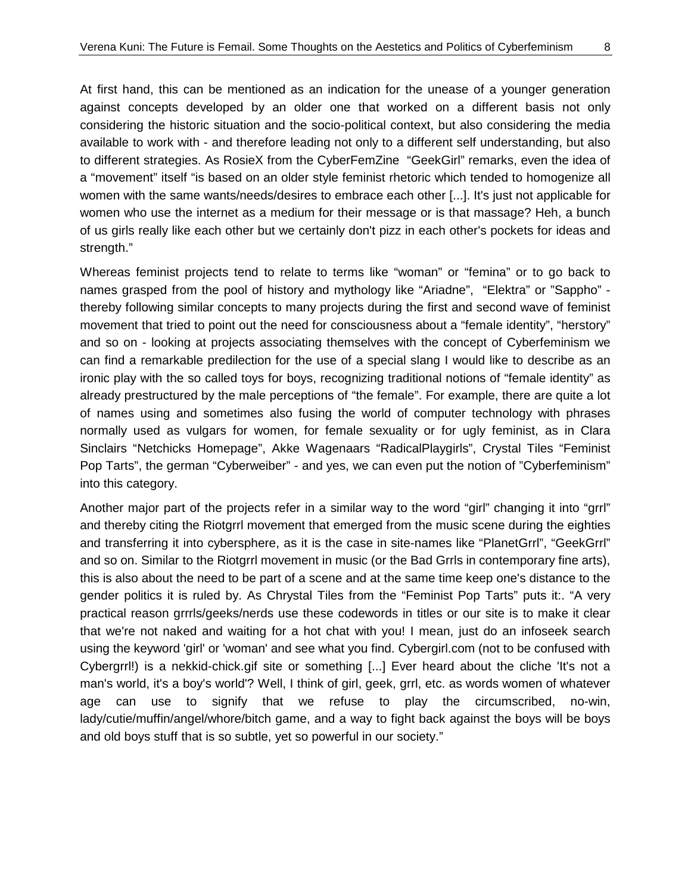At first hand, this can be mentioned as an indication for the unease of a younger generation against concepts developed by an older one that worked on a different basis not only considering the historic situation and the socio-political context, but also considering the media available to work with - and therefore leading not only to a different self understanding, but also to different strategies. As RosieX from the CyberFemZine "GeekGirl" remarks, even the idea of a "movement" itself "is based on an older style feminist rhetoric which tended to homogenize all women with the same wants/needs/desires to embrace each other [...]. It's just not applicable for women who use the internet as a medium for their message or is that massage? Heh, a bunch of us girls really like each other but we certainly don't pizz in each other's pockets for ideas and strength."

Whereas feminist projects tend to relate to terms like "woman" or "femina" or to go back to names grasped from the pool of history and mythology like "Ariadne", "Elektra" or "Sappho" thereby following similar concepts to many projects during the first and second wave of feminist movement that tried to point out the need for consciousness about a "female identity", "herstory" and so on - looking at projects associating themselves with the concept of Cyberfeminism we can find a remarkable predilection for the use of a special slang I would like to describe as an ironic play with the so called toys for boys, recognizing traditional notions of "female identity" as already prestructured by the male perceptions of "the female". For example, there are quite a lot of names using and sometimes also fusing the world of computer technology with phrases normally used as vulgars for women, for female sexuality or for ugly feminist, as in Clara Sinclairs "Netchicks Homepage", Akke Wagenaars "RadicalPlaygirls", Crystal Tiles "Feminist Pop Tarts", the german "Cyberweiber" - and yes, we can even put the notion of "Cyberfeminism" into this category.

Another major part of the projects refer in a similar way to the word "girl" changing it into "grrl" and thereby citing the Riotgrrl movement that emerged from the music scene during the eighties and transferring it into cybersphere, as it is the case in site-names like "PlanetGrrl", "GeekGrrl" and so on. Similar to the Riotgrrl movement in music (or the Bad Grrls in contemporary fine arts), this is also about the need to be part of a scene and at the same time keep one's distance to the gender politics it is ruled by. As Chrystal Tiles from the "Feminist Pop Tarts" puts it:. "A very practical reason grrrls/geeks/nerds use these codewords in titles or our site is to make it clear that we're not naked and waiting for a hot chat with you! I mean, just do an infoseek search using the keyword 'girl' or 'woman' and see what you find. Cybergirl.com (not to be confused with Cybergrrl!) is a nekkid-chick.gif site or something [...] Ever heard about the cliche 'It's not a man's world, it's a boy's world'? Well, I think of girl, geek, grrl, etc. as words women of whatever age can use to signify that we refuse to play the circumscribed, no-win, lady/cutie/muffin/angel/whore/bitch game, and a way to fight back against the boys will be boys and old boys stuff that is so subtle, yet so powerful in our society."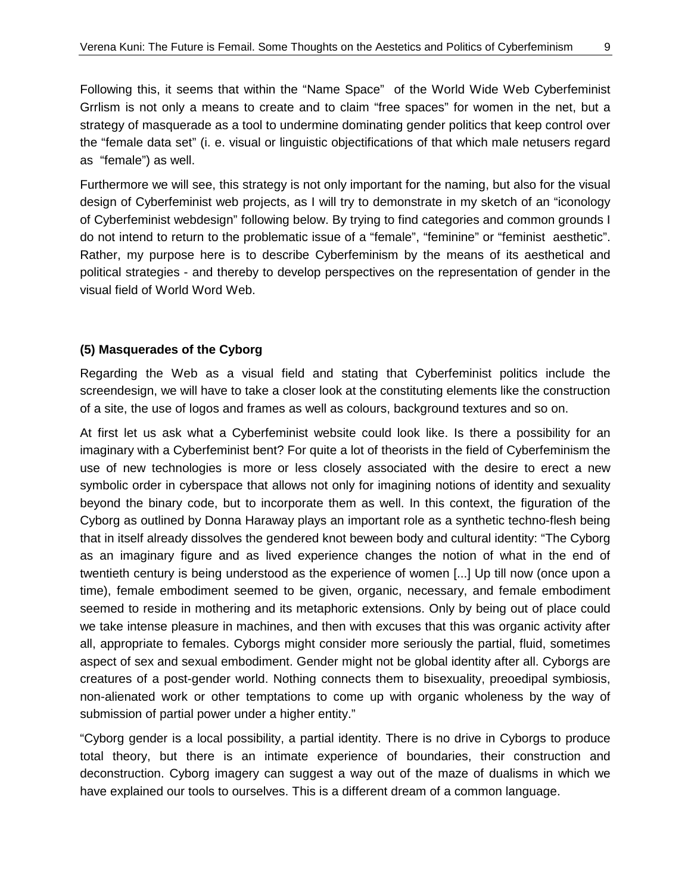Following this, it seems that within the "Name Space" of the World Wide Web Cyberfeminist Grrlism is not only a means to create and to claim "free spaces" for women in the net, but a strategy of masquerade as a tool to undermine dominating gender politics that keep control over the "female data set" (i. e. visual or linguistic objectifications of that which male netusers regard as "female") as well.

Furthermore we will see, this strategy is not only important for the naming, but also for the visual design of Cyberfeminist web projects, as I will try to demonstrate in my sketch of an "iconology of Cyberfeminist webdesign" following below. By trying to find categories and common grounds I do not intend to return to the problematic issue of a "female", "feminine" or "feminist aesthetic". Rather, my purpose here is to describe Cyberfeminism by the means of its aesthetical and political strategies - and thereby to develop perspectives on the representation of gender in the visual field of World Word Web.

## **(5) Masquerades of the Cyborg**

Regarding the Web as a visual field and stating that Cyberfeminist politics include the screendesign, we will have to take a closer look at the constituting elements like the construction of a site, the use of logos and frames as well as colours, background textures and so on.

At first let us ask what a Cyberfeminist website could look like. Is there a possibility for an imaginary with a Cyberfeminist bent? For quite a lot of theorists in the field of Cyberfeminism the use of new technologies is more or less closely associated with the desire to erect a new symbolic order in cyberspace that allows not only for imagining notions of identity and sexuality beyond the binary code, but to incorporate them as well. In this context, the figuration of the Cyborg as outlined by Donna Haraway plays an important role as a synthetic techno-flesh being that in itself already dissolves the gendered knot beween body and cultural identity: "The Cyborg as an imaginary figure and as lived experience changes the notion of what in the end of twentieth century is being understood as the experience of women [...] Up till now (once upon a time), female embodiment seemed to be given, organic, necessary, and female embodiment seemed to reside in mothering and its metaphoric extensions. Only by being out of place could we take intense pleasure in machines, and then with excuses that this was organic activity after all, appropriate to females. Cyborgs might consider more seriously the partial, fluid, sometimes aspect of sex and sexual embodiment. Gender might not be global identity after all. Cyborgs are creatures of a post-gender world. Nothing connects them to bisexuality, preoedipal symbiosis, non-alienated work or other temptations to come up with organic wholeness by the way of submission of partial power under a higher entity."

"Cyborg gender is a local possibility, a partial identity. There is no drive in Cyborgs to produce total theory, but there is an intimate experience of boundaries, their construction and deconstruction. Cyborg imagery can suggest a way out of the maze of dualisms in which we have explained our tools to ourselves. This is a different dream of a common language.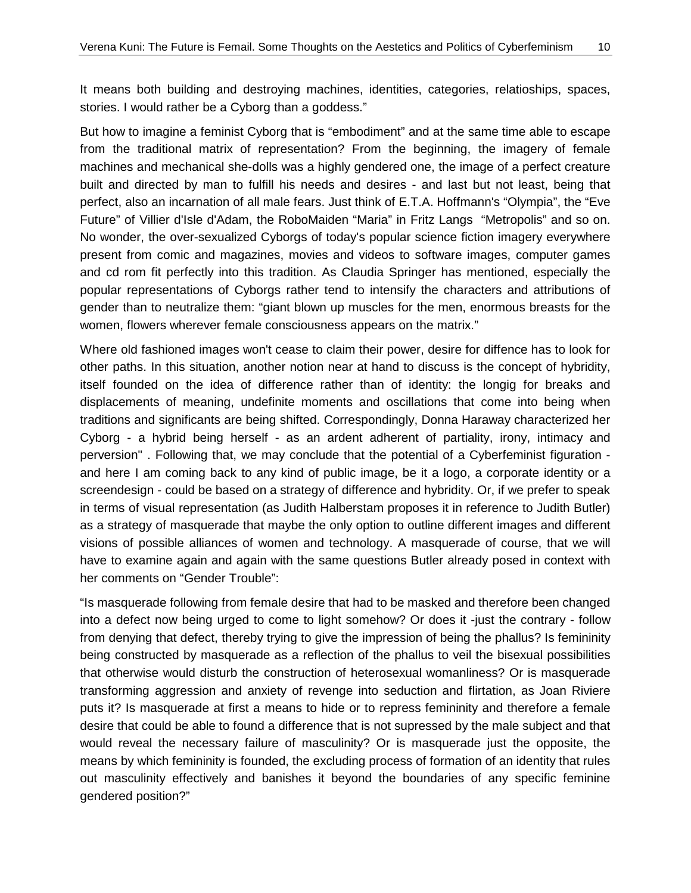It means both building and destroying machines, identities, categories, relatioships, spaces, stories. I would rather be a Cyborg than a goddess."

But how to imagine a feminist Cyborg that is "embodiment" and at the same time able to escape from the traditional matrix of representation? From the beginning, the imagery of female machines and mechanical she-dolls was a highly gendered one, the image of a perfect creature built and directed by man to fulfill his needs and desires - and last but not least, being that perfect, also an incarnation of all male fears. Just think of E.T.A. Hoffmann's "Olympia", the "Eve Future" of Villier d'Isle d'Adam, the RoboMaiden "Maria" in Fritz Langs "Metropolis" and so on. No wonder, the over-sexualized Cyborgs of today's popular science fiction imagery everywhere present from comic and magazines, movies and videos to software images, computer games and cd rom fit perfectly into this tradition. As Claudia Springer has mentioned, especially the popular representations of Cyborgs rather tend to intensify the characters and attributions of gender than to neutralize them: "giant blown up muscles for the men, enormous breasts for the women, flowers wherever female consciousness appears on the matrix."

Where old fashioned images won't cease to claim their power, desire for diffence has to look for other paths. In this situation, another notion near at hand to discuss is the concept of hybridity, itself founded on the idea of difference rather than of identity: the longig for breaks and displacements of meaning, undefinite moments and oscillations that come into being when traditions and significants are being shifted. Correspondingly, Donna Haraway characterized her Cyborg - a hybrid being herself - as an ardent adherent of partiality, irony, intimacy and perversion" . Following that, we may conclude that the potential of a Cyberfeminist figuration and here I am coming back to any kind of public image, be it a logo, a corporate identity or a screendesign - could be based on a strategy of difference and hybridity. Or, if we prefer to speak in terms of visual representation (as Judith Halberstam proposes it in reference to Judith Butler) as a strategy of masquerade that maybe the only option to outline different images and different visions of possible alliances of women and technology. A masquerade of course, that we will have to examine again and again with the same questions Butler already posed in context with her comments on "Gender Trouble":

"Is masquerade following from female desire that had to be masked and therefore been changed into a defect now being urged to come to light somehow? Or does it -just the contrary - follow from denying that defect, thereby trying to give the impression of being the phallus? Is femininity being constructed by masquerade as a reflection of the phallus to veil the bisexual possibilities that otherwise would disturb the construction of heterosexual womanliness? Or is masquerade transforming aggression and anxiety of revenge into seduction and flirtation, as Joan Riviere puts it? Is masquerade at first a means to hide or to repress femininity and therefore a female desire that could be able to found a difference that is not supressed by the male subject and that would reveal the necessary failure of masculinity? Or is masquerade just the opposite, the means by which femininity is founded, the excluding process of formation of an identity that rules out masculinity effectively and banishes it beyond the boundaries of any specific feminine gendered position?"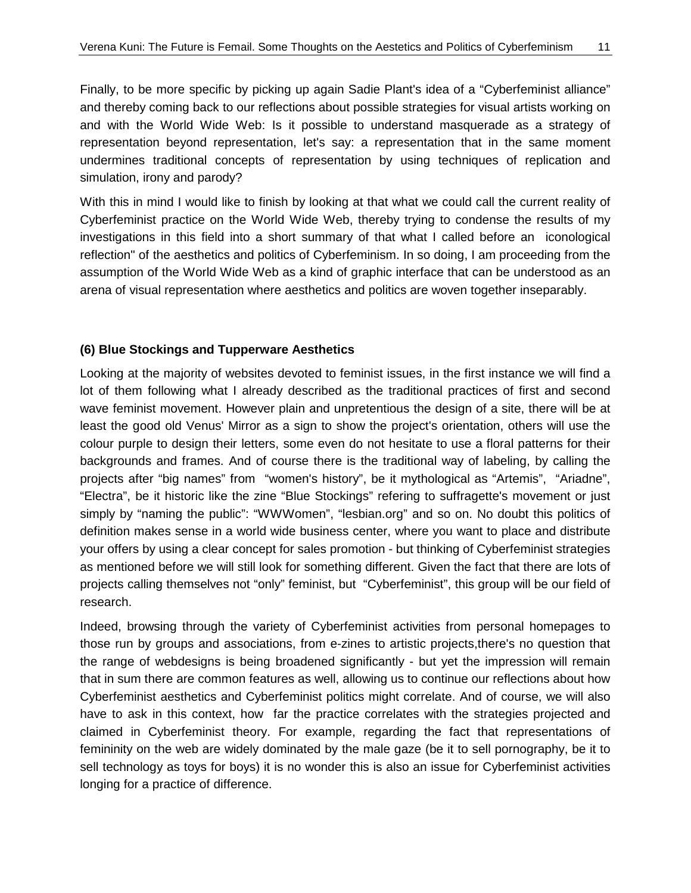Finally, to be more specific by picking up again Sadie Plant's idea of a "Cyberfeminist alliance" and thereby coming back to our reflections about possible strategies for visual artists working on and with the World Wide Web: Is it possible to understand masquerade as a strategy of representation beyond representation, let's say: a representation that in the same moment undermines traditional concepts of representation by using techniques of replication and simulation, irony and parody?

With this in mind I would like to finish by looking at that what we could call the current reality of Cyberfeminist practice on the World Wide Web, thereby trying to condense the results of my investigations in this field into a short summary of that what I called before an iconological reflection" of the aesthetics and politics of Cyberfeminism. In so doing, I am proceeding from the assumption of the World Wide Web as a kind of graphic interface that can be understood as an arena of visual representation where aesthetics and politics are woven together inseparably.

#### **(6) Blue Stockings and Tupperware Aesthetics**

Looking at the majority of websites devoted to feminist issues, in the first instance we will find a lot of them following what I already described as the traditional practices of first and second wave feminist movement. However plain and unpretentious the design of a site, there will be at least the good old Venus' Mirror as a sign to show the project's orientation, others will use the colour purple to design their letters, some even do not hesitate to use a floral patterns for their backgrounds and frames. And of course there is the traditional way of labeling, by calling the projects after "big names" from "women's history", be it mythological as "Artemis", "Ariadne", "Electra", be it historic like the zine "Blue Stockings" refering to suffragette's movement or just simply by "naming the public": "WWWomen", "lesbian.org" and so on. No doubt this politics of definition makes sense in a world wide business center, where you want to place and distribute your offers by using a clear concept for sales promotion - but thinking of Cyberfeminist strategies as mentioned before we will still look for something different. Given the fact that there are lots of projects calling themselves not "only" feminist, but "Cyberfeminist", this group will be our field of research.

Indeed, browsing through the variety of Cyberfeminist activities from personal homepages to those run by groups and associations, from e-zines to artistic projects,there's no question that the range of webdesigns is being broadened significantly - but yet the impression will remain that in sum there are common features as well, allowing us to continue our reflections about how Cyberfeminist aesthetics and Cyberfeminist politics might correlate. And of course, we will also have to ask in this context, how far the practice correlates with the strategies projected and claimed in Cyberfeminist theory. For example, regarding the fact that representations of femininity on the web are widely dominated by the male gaze (be it to sell pornography, be it to sell technology as toys for boys) it is no wonder this is also an issue for Cyberfeminist activities longing for a practice of difference.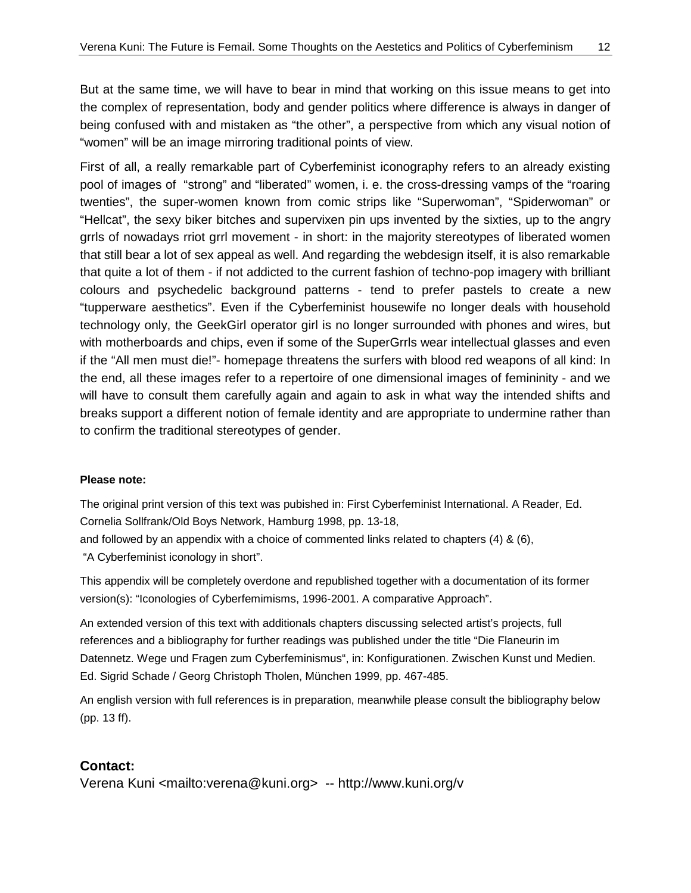But at the same time, we will have to bear in mind that working on this issue means to get into the complex of representation, body and gender politics where difference is always in danger of being confused with and mistaken as "the other", a perspective from which any visual notion of "women" will be an image mirroring traditional points of view.

First of all, a really remarkable part of Cyberfeminist iconography refers to an already existing pool of images of "strong" and "liberated" women, i. e. the cross-dressing vamps of the "roaring twenties", the super-women known from comic strips like "Superwoman", "Spiderwoman" or "Hellcat", the sexy biker bitches and supervixen pin ups invented by the sixties, up to the angry grrls of nowadays rriot grrl movement - in short: in the majority stereotypes of liberated women that still bear a lot of sex appeal as well. And regarding the webdesign itself, it is also remarkable that quite a lot of them - if not addicted to the current fashion of techno-pop imagery with brilliant colours and psychedelic background patterns - tend to prefer pastels to create a new "tupperware aesthetics". Even if the Cyberfeminist housewife no longer deals with household technology only, the GeekGirl operator girl is no longer surrounded with phones and wires, but with motherboards and chips, even if some of the SuperGrrls wear intellectual glasses and even if the "All men must die!"- homepage threatens the surfers with blood red weapons of all kind: In the end, all these images refer to a repertoire of one dimensional images of femininity - and we will have to consult them carefully again and again to ask in what way the intended shifts and breaks support a different notion of female identity and are appropriate to undermine rather than to confirm the traditional stereotypes of gender.

#### **Please note:**

The original print version of this text was pubished in: First Cyberfeminist International. A Reader, Ed. Cornelia Sollfrank/Old Boys Network, Hamburg 1998, pp. 13-18, and followed by an appendix with a choice of commented links related to chapters (4) & (6), "A Cyberfeminist iconology in short".

This appendix will be completely overdone and republished together with a documentation of its former version(s): "Iconologies of Cyberfemimisms, 1996-2001. A comparative Approach".

An extended version of this text with additionals chapters discussing selected artist's projects, full references and a bibliography for further readings was published under the title "Die Flaneurin im Datennetz. Wege und Fragen zum Cyberfeminismus", in: Konfigurationen. Zwischen Kunst und Medien. Ed. Sigrid Schade / Georg Christoph Tholen, München 1999, pp. 467-485.

An english version with full references is in preparation, meanwhile please consult the bibliography below (pp. 13 ff).

#### **Contact:**

Verena Kuni <mailto:verena@kuni.org> -- http://www.kuni.org/v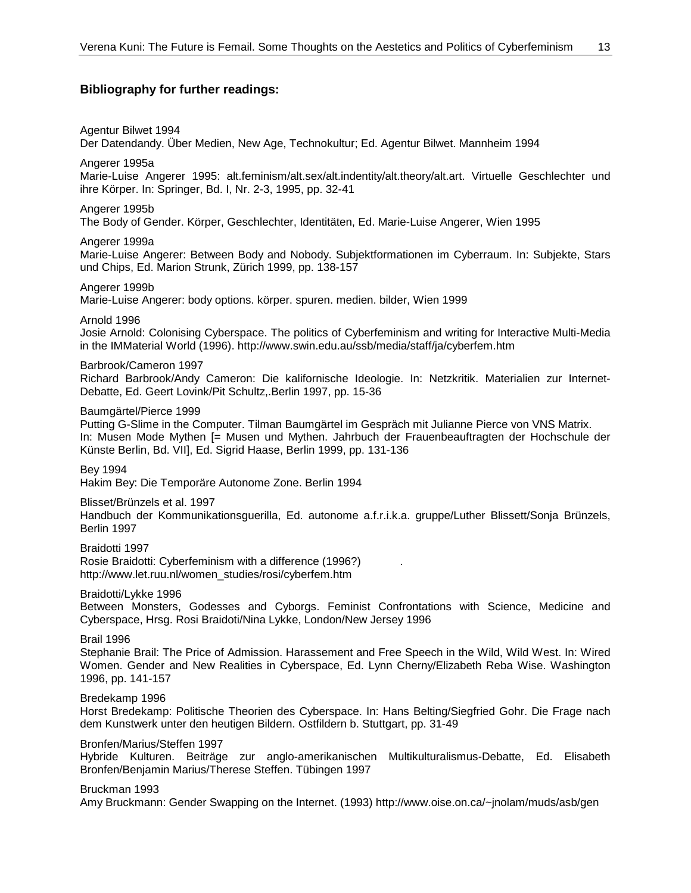#### **Bibliography for further readings:**

Agentur Bilwet 1994 Der Datendandy. Über Medien, New Age, Technokultur; Ed. Agentur Bilwet. Mannheim 1994 Angerer 1995a Marie-Luise Angerer 1995: alt.feminism/alt.sex/alt.indentity/alt.theory/alt.art. Virtuelle Geschlechter und ihre Körper. In: Springer, Bd. I, Nr. 2-3, 1995, pp. 32-41 Angerer 1995b The Body of Gender. Körper, Geschlechter, Identitäten, Ed. Marie-Luise Angerer, Wien 1995 Angerer 1999a Marie-Luise Angerer: Between Body and Nobody. Subjektformationen im Cyberraum. In: Subjekte, Stars und Chips, Ed. Marion Strunk, Zürich 1999, pp. 138-157 Angerer 1999b Marie-Luise Angerer: body options. körper. spuren. medien. bilder, Wien 1999 Arnold 1996 Josie Arnold: Colonising Cyberspace. The politics of Cyberfeminism and writing for Interactive Multi-Media in the IMMaterial World (1996). http://www.swin.edu.au/ssb/media/staff/ja/cyberfem.htm Barbrook/Cameron 1997 Richard Barbrook/Andy Cameron: Die kalifornische Ideologie. In: Netzkritik. Materialien zur Internet-Debatte, Ed. Geert Lovink/Pit Schultz,.Berlin 1997, pp. 15-36 Baumgärtel/Pierce 1999 Putting G-Slime in the Computer. Tilman Baumgärtel im Gespräch mit Julianne Pierce von VNS Matrix. In: Musen Mode Mythen [= Musen und Mythen. Jahrbuch der Frauenbeauftragten der Hochschule der Künste Berlin, Bd. VII], Ed. Sigrid Haase, Berlin 1999, pp. 131-136 Bey 1994 Hakim Bey: Die Temporäre Autonome Zone. Berlin 1994 Blisset/Brünzels et al. 1997 Handbuch der Kommunikationsguerilla, Ed. autonome a.f.r.i.k.a. gruppe/Luther Blissett/Sonja Brünzels, Berlin 1997 Braidotti 1997 Rosie Braidotti: Cyberfeminism with a difference (1996?) . http://www.let.ruu.nl/women\_studies/rosi/cyberfem.htm Braidotti/Lykke 1996 Between Monsters, Godesses and Cyborgs. Feminist Confrontations with Science, Medicine and Cyberspace, Hrsg. Rosi Braidoti/Nina Lykke, London/New Jersey 1996 Brail 1996 Stephanie Brail: The Price of Admission. Harassement and Free Speech in the Wild, Wild West. In: Wired Women. Gender and New Realities in Cyberspace, Ed. Lynn Cherny/Elizabeth Reba Wise. Washington 1996, pp. 141-157 Bredekamp 1996 Horst Bredekamp: Politische Theorien des Cyberspace. In: Hans Belting/Siegfried Gohr. Die Frage nach dem Kunstwerk unter den heutigen Bildern. Ostfildern b. Stuttgart, pp. 31-49 Bronfen/Marius/Steffen 1997 Hybride Kulturen. Beiträge zur anglo-amerikanischen Multikulturalismus-Debatte, Ed. Elisabeth Bronfen/Benjamin Marius/Therese Steffen. Tübingen 1997 Bruckman 1993 Amy Bruckmann: Gender Swapping on the Internet. (1993) http://www.oise.on.ca/~jnolam/muds/asb/gen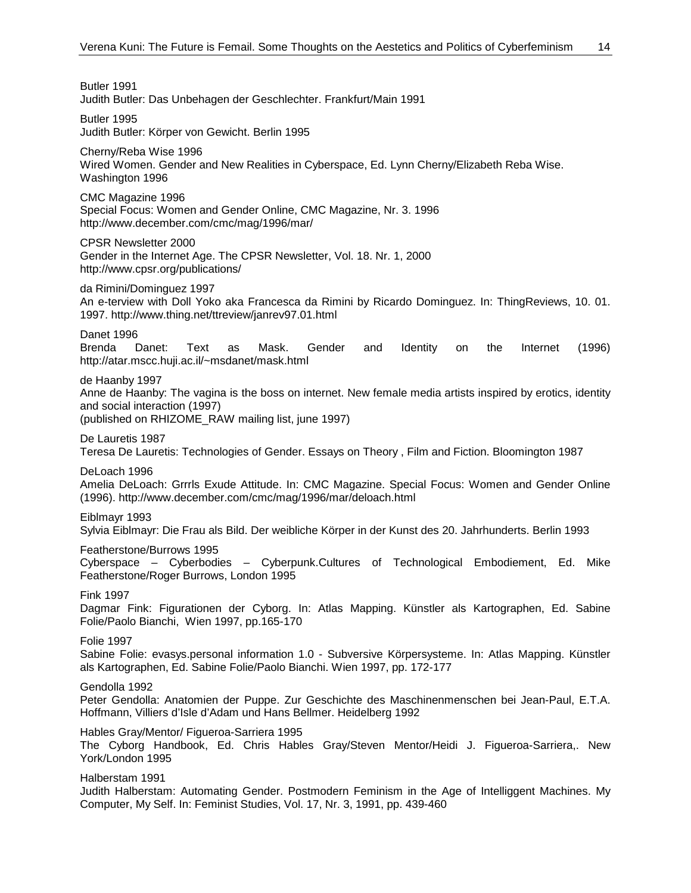Butler 1991 Judith Butler: Das Unbehagen der Geschlechter. Frankfurt/Main 1991 Butler 1995 Judith Butler: Körper von Gewicht. Berlin 1995 Cherny/Reba Wise 1996 Wired Women. Gender and New Realities in Cyberspace, Ed. Lynn Cherny/Elizabeth Reba Wise. Washington 1996 CMC Magazine 1996 Special Focus: Women and Gender Online, CMC Magazine, Nr. 3. 1996 http://www.december.com/cmc/mag/1996/mar/ CPSR Newsletter 2000 Gender in the Internet Age. The CPSR Newsletter, Vol. 18. Nr. 1, 2000 http://www.cpsr.org/publications/ da Rimini/Dominguez 1997 An e-terview with Doll Yoko aka Francesca da Rimini by Ricardo Dominguez. In: ThingReviews, 10. 01. 1997. http://www.thing.net/ttreview/janrev97.01.html Danet 1996 Brenda Danet: Text as Mask. Gender and Identity on the Internet (1996) http://atar.mscc.huji.ac.il/~msdanet/mask.html de Haanby 1997 Anne de Haanby: The vagina is the boss on internet. New female media artists inspired by erotics, identity and social interaction (1997) (published on RHIZOME\_RAW mailing list, june 1997) De Lauretis 1987 Teresa De Lauretis: Technologies of Gender. Essays on Theory , Film and Fiction. Bloomington 1987 DeLoach 1996 Amelia DeLoach: Grrrls Exude Attitude. In: CMC Magazine. Special Focus: Women and Gender Online (1996). http://www.december.com/cmc/mag/1996/mar/deloach.html Eiblmayr 1993 Sylvia Eiblmayr: Die Frau als Bild. Der weibliche Körper in der Kunst des 20. Jahrhunderts. Berlin 1993 Featherstone/Burrows 1995 Cyberspace – Cyberbodies – Cyberpunk.Cultures of Technological Embodiement, Ed. Mike Featherstone/Roger Burrows, London 1995 Fink 1997 Dagmar Fink: Figurationen der Cyborg. In: Atlas Mapping. Künstler als Kartographen, Ed. Sabine Folie/Paolo Bianchi, Wien 1997, pp.165-170 Folie 1997 Sabine Folie: evasys.personal information 1.0 - Subversive Körpersysteme. In: Atlas Mapping. Künstler als Kartographen, Ed. Sabine Folie/Paolo Bianchi. Wien 1997, pp. 172-177 Gendolla 1992 Peter Gendolla: Anatomien der Puppe. Zur Geschichte des Maschinenmenschen bei Jean-Paul, E.T.A. Hoffmann, Villiers d'Isle d'Adam und Hans Bellmer. Heidelberg 1992 Hables Gray/Mentor/ Figueroa-Sarriera 1995 The Cyborg Handbook, Ed. Chris Hables Gray/Steven Mentor/Heidi J. Figueroa-Sarriera,. New York/London 1995 Halberstam 1991 Judith Halberstam: Automating Gender. Postmodern Feminism in the Age of Intelliggent Machines. My Computer, My Self. In: Feminist Studies, Vol. 17, Nr. 3, 1991, pp. 439-460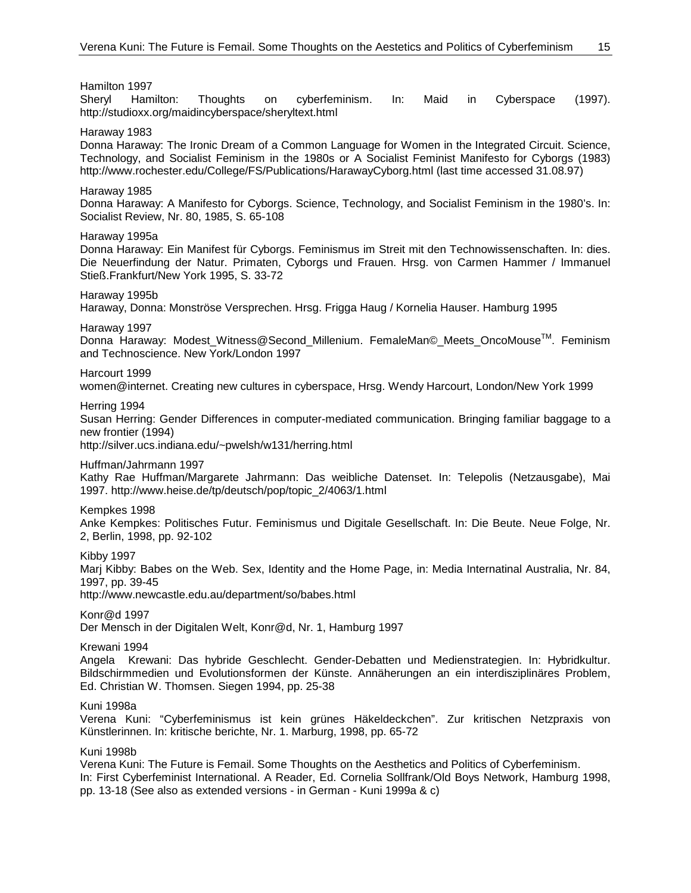Hamilton 1997 Sheryl Hamilton: Thoughts on cyberfeminism. In: Maid in Cyberspace (1997). http://studioxx.org/maidincyberspace/sheryltext.html Haraway 1983 Donna Haraway: The Ironic Dream of a Common Language for Women in the Integrated Circuit. Science, Technology, and Socialist Feminism in the 1980s or A Socialist Feminist Manifesto for Cyborgs (1983) http://www.rochester.edu/College/FS/Publications/HarawayCyborg.html (last time accessed 31.08.97) Haraway 1985

Donna Haraway: A Manifesto for Cyborgs. Science, Technology, and Socialist Feminism in the 1980's. In: Socialist Review, Nr. 80, 1985, S. 65-108

Haraway 1995a

Donna Haraway: Ein Manifest für Cyborgs. Feminismus im Streit mit den Technowissenschaften. In: dies. Die Neuerfindung der Natur. Primaten, Cyborgs und Frauen. Hrsg. von Carmen Hammer / Immanuel Stieß.Frankfurt/New York 1995, S. 33-72

Haraway 1995b

Haraway, Donna: Monströse Versprechen. Hrsg. Frigga Haug / Kornelia Hauser. Hamburg 1995

Haraway 1997

Donna Haraway: Modest\_Witness@Second\_Millenium. FemaleMan©\_Meets\_OncoMouseTM. Feminism and Technoscience. New York/London 1997

Harcourt 1999

women@internet. Creating new cultures in cyberspace, Hrsg. Wendy Harcourt, London/New York 1999

Herring 1994

Susan Herring: Gender Differences in computer-mediated communication. Bringing familiar baggage to a new frontier (1994)

http://silver.ucs.indiana.edu/~pwelsh/w131/herring.html

Huffman/Jahrmann 1997

Kathy Rae Huffman/Margarete Jahrmann: Das weibliche Datenset. In: Telepolis (Netzausgabe), Mai 1997. http://www.heise.de/tp/deutsch/pop/topic\_2/4063/1.html

Kempkes 1998

Anke Kempkes: Politisches Futur. Feminismus und Digitale Gesellschaft. In: Die Beute. Neue Folge, Nr. 2, Berlin, 1998, pp. 92-102

Kibby 1997

Marj Kibby: Babes on the Web. Sex, Identity and the Home Page, in: Media Internatinal Australia, Nr. 84, 1997, pp. 39-45

http://www.newcastle.edu.au/department/so/babes.html

Konr@d 1997 Der Mensch in der Digitalen Welt, Konr@d, Nr. 1, Hamburg 1997

Krewani 1994

Angela Krewani: Das hybride Geschlecht. Gender-Debatten und Medienstrategien. In: Hybridkultur. Bildschirmmedien und Evolutionsformen der Künste. Annäherungen an ein interdisziplinäres Problem, Ed. Christian W. Thomsen. Siegen 1994, pp. 25-38

#### Kuni 1998a

Verena Kuni: "Cyberfeminismus ist kein grünes Häkeldeckchen". Zur kritischen Netzpraxis von Künstlerinnen. In: kritische berichte, Nr. 1. Marburg, 1998, pp. 65-72

Kuni 1998b

Verena Kuni: The Future is Femail. Some Thoughts on the Aesthetics and Politics of Cyberfeminism. In: First Cyberfeminist International. A Reader, Ed. Cornelia Sollfrank/Old Boys Network, Hamburg 1998, pp. 13-18 (See also as extended versions - in German - Kuni 1999a & c)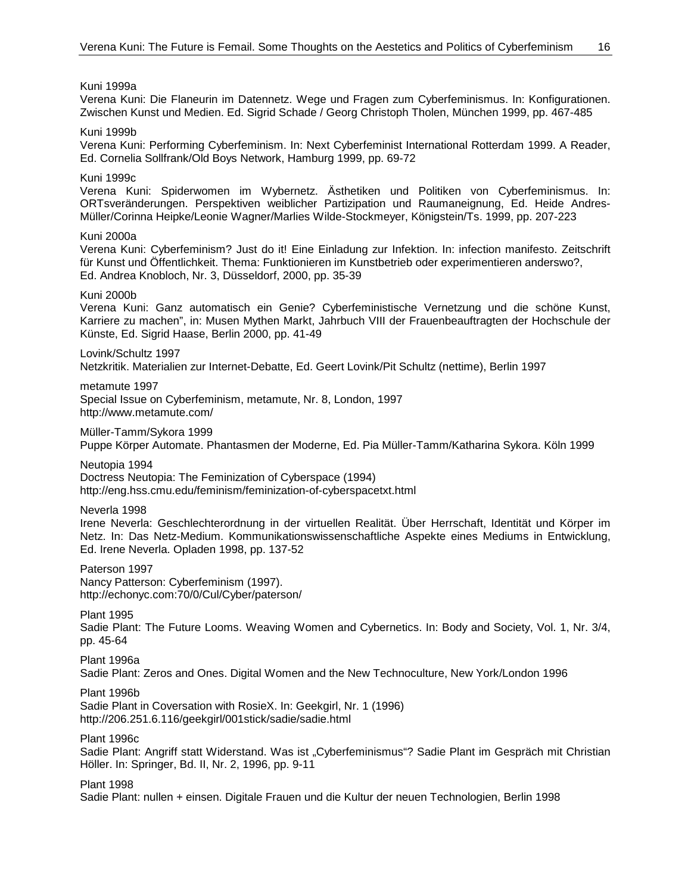Kuni 1999a

Verena Kuni: Die Flaneurin im Datennetz. Wege und Fragen zum Cyberfeminismus. In: Konfigurationen. Zwischen Kunst und Medien. Ed. Sigrid Schade / Georg Christoph Tholen, München 1999, pp. 467-485

Kuni 1999b

Verena Kuni: Performing Cyberfeminism. In: Next Cyberfeminist International Rotterdam 1999. A Reader, Ed. Cornelia Sollfrank/Old Boys Network, Hamburg 1999, pp. 69-72

Kuni 1999c

Verena Kuni: Spiderwomen im Wybernetz. Ästhetiken und Politiken von Cyberfeminismus. In: ORTsveränderungen. Perspektiven weiblicher Partizipation und Raumaneignung, Ed. Heide Andres-Müller/Corinna Heipke/Leonie Wagner/Marlies Wilde-Stockmeyer, Königstein/Ts. 1999, pp. 207-223

Kuni 2000a

Verena Kuni: Cyberfeminism? Just do it! Eine Einladung zur Infektion. In: infection manifesto. Zeitschrift für Kunst und Öffentlichkeit. Thema: Funktionieren im Kunstbetrieb oder experimentieren anderswo?, Ed. Andrea Knobloch, Nr. 3, Düsseldorf, 2000, pp. 35-39

Kuni 2000b

Verena Kuni: Ganz automatisch ein Genie? Cyberfeministische Vernetzung und die schöne Kunst, Karriere zu machen", in: Musen Mythen Markt, Jahrbuch VIII der Frauenbeauftragten der Hochschule der Künste, Ed. Sigrid Haase, Berlin 2000, pp. 41-49

Lovink/Schultz 1997 Netzkritik. Materialien zur Internet-Debatte, Ed. Geert Lovink/Pit Schultz (nettime), Berlin 1997

metamute 1997 Special Issue on Cyberfeminism, metamute, Nr. 8, London, 1997 http://www.metamute.com/

Müller-Tamm/Sykora 1999

Puppe Körper Automate. Phantasmen der Moderne, Ed. Pia Müller-Tamm/Katharina Sykora. Köln 1999

Neutopia 1994 Doctress Neutopia: The Feminization of Cyberspace (1994) http://eng.hss.cmu.edu/feminism/feminization-of-cyberspacetxt.html

Neverla 1998

Irene Neverla: Geschlechterordnung in der virtuellen Realität. Über Herrschaft, Identität und Körper im Netz. In: Das Netz-Medium. Kommunikationswissenschaftliche Aspekte eines Mediums in Entwicklung, Ed. Irene Neverla. Opladen 1998, pp. 137-52

Paterson 1997 Nancy Patterson: Cyberfeminism (1997). http://echonyc.com:70/0/Cul/Cyber/paterson/

Plant 1995

Sadie Plant: The Future Looms. Weaving Women and Cybernetics. In: Body and Society, Vol. 1, Nr. 3/4, pp. 45-64

Plant 1996a Sadie Plant: Zeros and Ones. Digital Women and the New Technoculture, New York/London 1996

Plant 1996b Sadie Plant in Coversation with RosieX. In: Geekgirl, Nr. 1 (1996) http://206.251.6.116/geekgirl/001stick/sadie/sadie.html

Plant 1996c

Sadie Plant: Angriff statt Widerstand. Was ist "Cyberfeminismus"? Sadie Plant im Gespräch mit Christian Höller. In: Springer, Bd. II, Nr. 2, 1996, pp. 9-11

Plant 1998

Sadie Plant: nullen + einsen. Digitale Frauen und die Kultur der neuen Technologien, Berlin 1998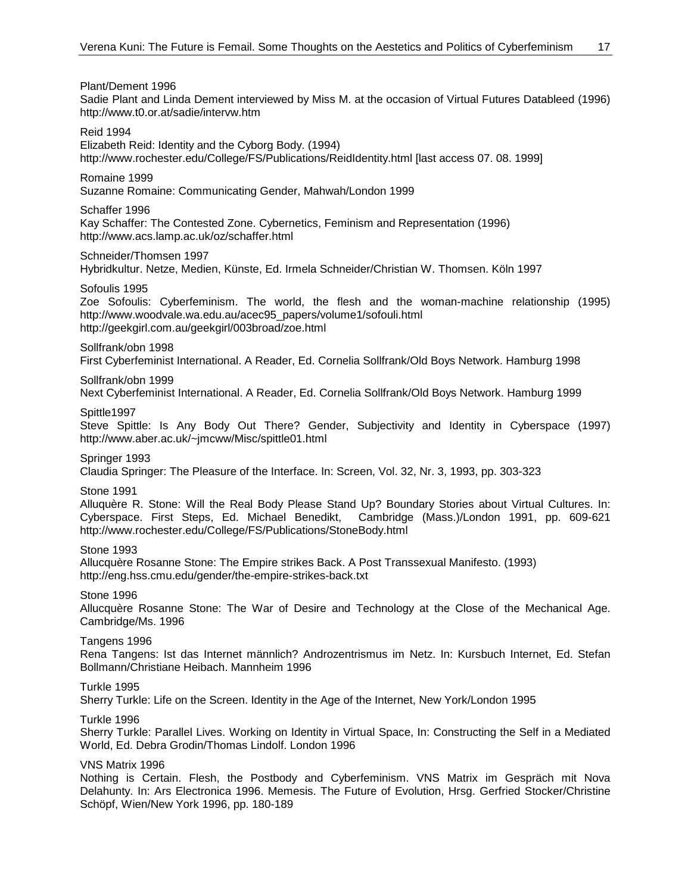Plant/Dement 1996 Sadie Plant and Linda Dement interviewed by Miss M. at the occasion of Virtual Futures Datableed (1996) http://www.t0.or.at/sadie/intervw.htm Reid 1994 Elizabeth Reid: Identity and the Cyborg Body. (1994) http://www.rochester.edu/College/FS/Publications/ReidIdentity.html [last access 07. 08. 1999] Romaine 1999 Suzanne Romaine: Communicating Gender, Mahwah/London 1999 Schaffer 1996 Kay Schaffer: The Contested Zone. Cybernetics, Feminism and Representation (1996) http://www.acs.lamp.ac.uk/oz/schaffer.html Schneider/Thomsen 1997 Hybridkultur. Netze, Medien, Künste, Ed. Irmela Schneider/Christian W. Thomsen. Köln 1997 Sofoulis 1995 Zoe Sofoulis: Cyberfeminism. The world, the flesh and the woman-machine relationship (1995) http://www.woodvale.wa.edu.au/acec95\_papers/volume1/sofouli.html http://geekgirl.com.au/geekgirl/003broad/zoe.html Sollfrank/obn 1998 First Cyberfeminist International. A Reader, Ed. Cornelia Sollfrank/Old Boys Network. Hamburg 1998 Sollfrank/obn 1999 Next Cyberfeminist International. A Reader, Ed. Cornelia Sollfrank/Old Boys Network. Hamburg 1999 Spittle1997 Steve Spittle: Is Any Body Out There? Gender, Subjectivity and Identity in Cyberspace (1997) http://www.aber.ac.uk/~jmcww/Misc/spittle01.html Springer 1993 Claudia Springer: The Pleasure of the Interface. In: Screen, Vol. 32, Nr. 3, 1993, pp. 303-323 Stone 1991 Alluquère R. Stone: Will the Real Body Please Stand Up? Boundary Stories about Virtual Cultures. In: Cyberspace. First Steps, Ed. Michael Benedikt, Cambridge (Mass.)/London 1991, pp. 609-621 http://www.rochester.edu/College/FS/Publications/StoneBody.html Stone 1993 Allucquère Rosanne Stone: The Empire strikes Back. A Post Transsexual Manifesto. (1993) http://eng.hss.cmu.edu/gender/the-empire-strikes-back.txt Stone 1996 Allucquère Rosanne Stone: The War of Desire and Technology at the Close of the Mechanical Age. Cambridge/Ms. 1996 Tangens 1996 Rena Tangens: Ist das Internet männlich? Androzentrismus im Netz. In: Kursbuch Internet, Ed. Stefan Bollmann/Christiane Heibach. Mannheim 1996 Turkle 1995 Sherry Turkle: Life on the Screen. Identity in the Age of the Internet, New York/London 1995 Turkle 1996 Sherry Turkle: Parallel Lives. Working on Identity in Virtual Space, In: Constructing the Self in a Mediated World, Ed. Debra Grodin/Thomas Lindolf. London 1996 VNS Matrix 1996 Nothing is Certain. Flesh, the Postbody and Cyberfeminism. VNS Matrix im Gespräch mit Nova Delahunty. In: Ars Electronica 1996. Memesis. The Future of Evolution, Hrsg. Gerfried Stocker/Christine Schöpf, Wien/New York 1996, pp. 180-189